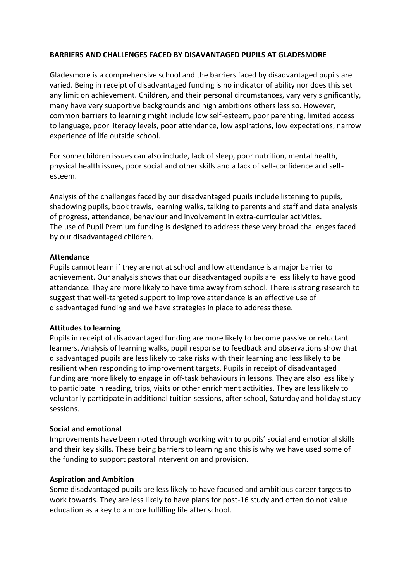### **BARRIERS AND CHALLENGES FACED BY DISAVANTAGED PUPILS AT GLADESMORE**

Gladesmore is a comprehensive school and the barriers faced by disadvantaged pupils are varied. Being in receipt of disadvantaged funding is no indicator of ability nor does this set any limit on achievement. Children, and their personal circumstances, vary very significantly, many have very supportive backgrounds and high ambitions others less so. However, common barriers to learning might include low self-esteem, poor parenting, limited access to language, poor literacy levels, poor attendance, low aspirations, low expectations, narrow experience of life outside school.

For some children issues can also include, lack of sleep, poor nutrition, mental health, physical health issues, poor social and other skills and a lack of self-confidence and selfesteem.

Analysis of the challenges faced by our disadvantaged pupils include listening to pupils, shadowing pupils, book trawls, learning walks, talking to parents and staff and data analysis of progress, attendance, behaviour and involvement in extra-curricular activities. The use of Pupil Premium funding is designed to address these very broad challenges faced by our disadvantaged children.

#### **Attendance**

Pupils cannot learn if they are not at school and low attendance is a major barrier to achievement. Our analysis shows that our disadvantaged pupils are less likely to have good attendance. They are more likely to have time away from school. There is strong research to suggest that well-targeted support to improve attendance is an effective use of disadvantaged funding and we have strategies in place to address these.

# **Attitudes to learning**

Pupils in receipt of disadvantaged funding are more likely to become passive or reluctant learners. Analysis of learning walks, pupil response to feedback and observations show that disadvantaged pupils are less likely to take risks with their learning and less likely to be resilient when responding to improvement targets. Pupils in receipt of disadvantaged funding are more likely to engage in off-task behaviours in lessons. They are also less likely to participate in reading, trips, visits or other enrichment activities. They are less likely to voluntarily participate in additional tuition sessions, after school, Saturday and holiday study sessions.

# **Social and emotional**

Improvements have been noted through working with to pupils' social and emotional skills and their key skills. These being barriers to learning and this is why we have used some of the funding to support pastoral intervention and provision.

# **Aspiration and Ambition**

Some disadvantaged pupils are less likely to have focused and ambitious career targets to work towards. They are less likely to have plans for post-16 study and often do not value education as a key to a more fulfilling life after school.